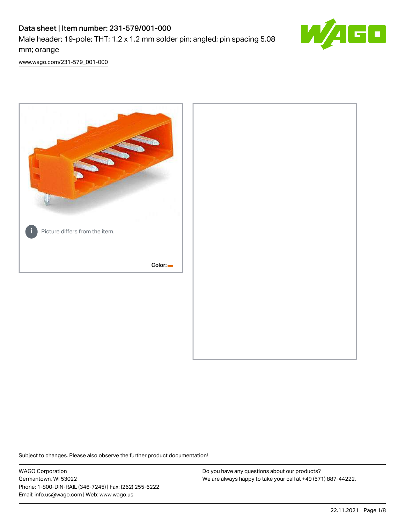# Data sheet | Item number: 231-579/001-000

Male header; 19-pole; THT; 1.2 x 1.2 mm solder pin; angled; pin spacing 5.08 mm; orange



[www.wago.com/231-579\\_001-000](http://www.wago.com/231-579_001-000)



Subject to changes. Please also observe the further product documentation!

WAGO Corporation Germantown, WI 53022 Phone: 1-800-DIN-RAIL (346-7245) | Fax: (262) 255-6222 Email: info.us@wago.com | Web: www.wago.us

Do you have any questions about our products? We are always happy to take your call at +49 (571) 887-44222.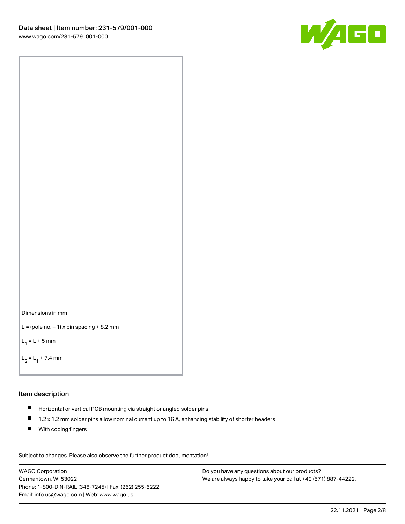



```
L = (pole no. -1) x pin spacing +8.2 mm
```
 $L_1 = L + 5$  mm

```
L_2 = L_1 + 7.4 mm
```
#### Item description

- Horizontal or vertical PCB mounting via straight or angled solder pins
- $\blacksquare$ 1.2 x 1.2 mm solder pins allow nominal current up to 16 A, enhancing stability of shorter headers
- **With coding fingers**

Subject to changes. Please also observe the further product documentation! Data

WAGO Corporation Germantown, WI 53022 Phone: 1-800-DIN-RAIL (346-7245) | Fax: (262) 255-6222 Email: info.us@wago.com | Web: www.wago.us

Do you have any questions about our products? We are always happy to take your call at +49 (571) 887-44222.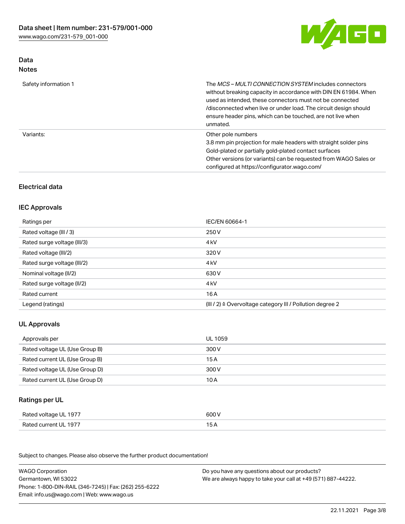

## Data Notes

| Safety information 1 | The <i>MCS – MULTI CONNECTION SYSTEM</i> includes connectors<br>without breaking capacity in accordance with DIN EN 61984. When<br>used as intended, these connectors must not be connected<br>/disconnected when live or under load. The circuit design should<br>ensure header pins, which can be touched, are not live when<br>unmated. |
|----------------------|--------------------------------------------------------------------------------------------------------------------------------------------------------------------------------------------------------------------------------------------------------------------------------------------------------------------------------------------|
| Variants:            | Other pole numbers<br>3.8 mm pin projection for male headers with straight solder pins<br>Gold-plated or partially gold-plated contact surfaces<br>Other versions (or variants) can be requested from WAGO Sales or<br>configured at https://configurator.wago.com/                                                                        |

## Electrical data

## IEC Approvals

| Ratings per                 | IEC/EN 60664-1                                                        |
|-----------------------------|-----------------------------------------------------------------------|
| Rated voltage (III / 3)     | 250 V                                                                 |
| Rated surge voltage (III/3) | 4 <sub>k</sub> V                                                      |
| Rated voltage (III/2)       | 320 V                                                                 |
| Rated surge voltage (III/2) | 4 <sub>kV</sub>                                                       |
| Nominal voltage (II/2)      | 630 V                                                                 |
| Rated surge voltage (II/2)  | 4 <sub>k</sub> V                                                      |
| Rated current               | 16A                                                                   |
| Legend (ratings)            | $(III / 2)$ $\triangle$ Overvoltage category III / Pollution degree 2 |

## UL Approvals

| Approvals per                  | UL 1059 |
|--------------------------------|---------|
| Rated voltage UL (Use Group B) | 300 V   |
| Rated current UL (Use Group B) | 15 A    |
| Rated voltage UL (Use Group D) | 300 V   |
| Rated current UL (Use Group D) | 10 A    |

### Ratings per UL

| Rated voltage UL 1977 | 600 V |
|-----------------------|-------|
| Rated current UL 1977 |       |

Subject to changes. Please also observe the further product documentation!

| <b>WAGO Corporation</b>                                | Do you have any questions about our products?                 |
|--------------------------------------------------------|---------------------------------------------------------------|
| Germantown, WI 53022                                   | We are always happy to take your call at +49 (571) 887-44222. |
| Phone: 1-800-DIN-RAIL (346-7245)   Fax: (262) 255-6222 |                                                               |
| Email: info.us@wago.com   Web: www.wago.us             |                                                               |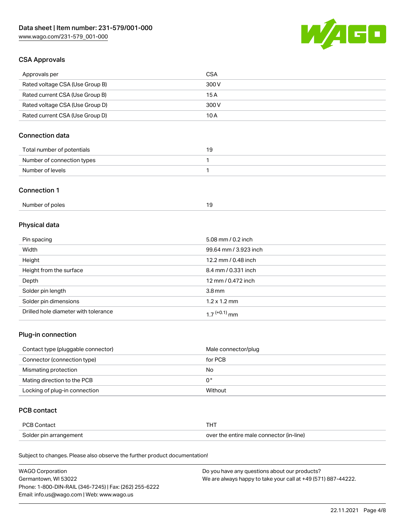

## CSA Approvals

| Approvals per                   | CSA   |
|---------------------------------|-------|
| Rated voltage CSA (Use Group B) | 300 V |
| Rated current CSA (Use Group B) | 15 A  |
| Rated voltage CSA (Use Group D) | 300 V |
| Rated current CSA (Use Group D) | 10 A  |

## Connection data

| Total number of potentials | ıч |
|----------------------------|----|
| Number of connection types |    |
| Number of levels           |    |

#### Connection 1

| Number of poles |  |
|-----------------|--|
|                 |  |

# Physical data

| Pin spacing                          | 5.08 mm / 0.2 inch    |
|--------------------------------------|-----------------------|
| Width                                | 99.64 mm / 3.923 inch |
| Height                               | 12.2 mm / 0.48 inch   |
| Height from the surface              | 8.4 mm / 0.331 inch   |
| Depth                                | 12 mm / 0.472 inch    |
| Solder pin length                    | 3.8 <sub>mm</sub>     |
| Solder pin dimensions                | $1.2 \times 1.2$ mm   |
| Drilled hole diameter with tolerance | $17^{(+0.1)}$ mm      |

## Plug-in connection

| Contact type (pluggable connector) | Male connector/plug |
|------------------------------------|---------------------|
| Connector (connection type)        | for PCB             |
| Mismating protection               | No                  |
| Mating direction to the PCB        | 0°                  |
| Locking of plug-in connection      | Without             |

### PCB contact

| PCB Contact            | тнт                                      |
|------------------------|------------------------------------------|
| Solder pin arrangement | over the entire male connector (in-line) |

Subject to changes. Please also observe the further product documentation!

| <b>WAGO Corporation</b>                                | Do you have any questions about our products?                 |
|--------------------------------------------------------|---------------------------------------------------------------|
| Germantown, WI 53022                                   | We are always happy to take your call at +49 (571) 887-44222. |
| Phone: 1-800-DIN-RAIL (346-7245)   Fax: (262) 255-6222 |                                                               |
| Email: info.us@wago.com   Web: www.wago.us             |                                                               |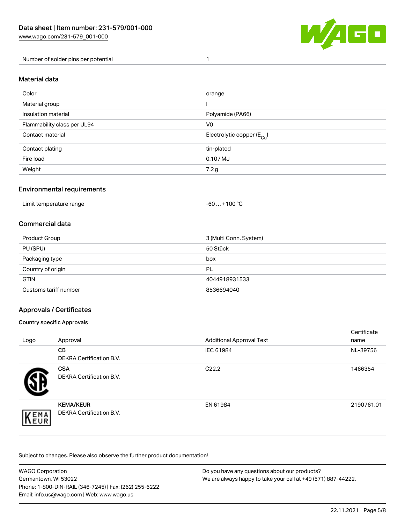

Number of solder pins per potential 1

#### Material data

| Color                       | orange                                 |
|-----------------------------|----------------------------------------|
| Material group              |                                        |
| Insulation material         | Polyamide (PA66)                       |
| Flammability class per UL94 | V <sub>0</sub>                         |
| Contact material            | Electrolytic copper (E <sub>Cu</sub> ) |
| Contact plating             | tin-plated                             |
| Fire load                   | 0.107 MJ                               |
| Weight                      | 7.2 g                                  |

### Environmental requirements

Limit temperature range  $-60... +100$  °C

#### Commercial data

| 3 (Multi Conn. System)<br>Product Group |               |
|-----------------------------------------|---------------|
| PU (SPU)                                | 50 Stück      |
| Packaging type                          | box           |
| Country of origin                       | PL            |
| <b>GTIN</b>                             | 4044918931533 |
| Customs tariff number                   | 8536694040    |

### Approvals / Certificates

#### Country specific Approvals

| Logo                | Approval                                            | <b>Additional Approval Text</b> | Certificate<br>name |
|---------------------|-----------------------------------------------------|---------------------------------|---------------------|
|                     | <b>CB</b><br><b>DEKRA Certification B.V.</b>        | IEC 61984                       | NL-39756            |
|                     | <b>CSA</b><br>DEKRA Certification B.V.              | C <sub>22.2</sub>               | 1466354             |
| EMA<br><b>INEUR</b> | <b>KEMA/KEUR</b><br><b>DEKRA Certification B.V.</b> | EN 61984                        | 2190761.01          |

Subject to changes. Please also observe the further product documentation!

| <b>WAGO Corporation</b>                                | Do you have any questions about our products?                 |
|--------------------------------------------------------|---------------------------------------------------------------|
| Germantown, WI 53022                                   | We are always happy to take your call at +49 (571) 887-44222. |
| Phone: 1-800-DIN-RAIL (346-7245)   Fax: (262) 255-6222 |                                                               |
| Email: info.us@wago.com   Web: www.wago.us             |                                                               |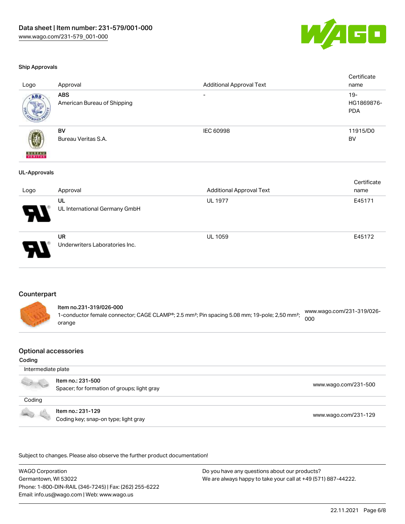

#### Ship Approvals

| Logo                | Approval                                  | <b>Additional Approval Text</b> | Certificate<br>name                |
|---------------------|-------------------------------------------|---------------------------------|------------------------------------|
| ABS                 | <b>ABS</b><br>American Bureau of Shipping | $\qquad \qquad$                 | $19 -$<br>HG1869876-<br><b>PDA</b> |
| <b>BUREAU</b>       | BV<br>Bureau Veritas S.A.                 | IEC 60998                       | 11915/D0<br>BV                     |
| <b>UL-Approvals</b> |                                           |                                 |                                    |
| Logo                | Approval                                  | <b>Additional Approval Text</b> | Certificate<br>name                |
|                     | UL<br>UL International Germany GmbH       | <b>UL 1977</b>                  | E45171                             |

UR Underwriters Laboratories Inc.

#### Counterpart

Item no.231-319/026-000 1-conductor female connector; CAGE CLAMP®; 2.5 mm²; Pin spacing 5.08 mm; 19-pole; 2,50 mm²; orange [www.wago.com/231-319/026-](https://www.wago.com/231-319/026-000) [000](https://www.wago.com/231-319/026-000)

#### Optional accessories

#### Coding

 Intermediate plate Item no.: 231-500 J. Not the second that the second second the second second second that [www.wago.com/231-500](http://www.wago.com/231-500) spacer; for formation of groups; light gray Coding Item no.: 231-129 Coding key; snap-on type; light gray [www.wago.com/231-129](http://www.wago.com/231-129)

.<br>Subject to changes. Please also observe the further product documentation!

WAGO Corporation Germantown, WI 53022 Phone: 1-800-DIN-RAIL (346-7245) | Fax: (262) 255-6222 Email: info.us@wago.com | Web: www.wago.us

Do you have any questions about our products? We are always happy to take your call at +49 (571) 887-44222.

UL 1059 E45172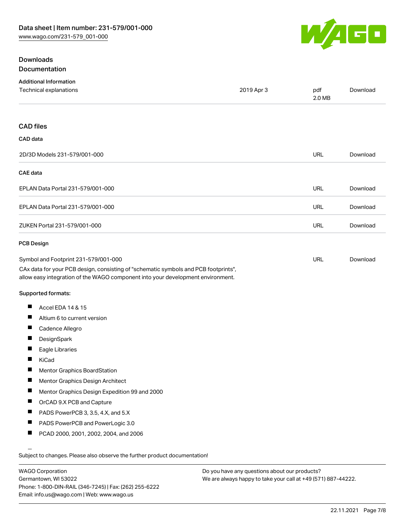

## **Downloads** Documentation

| <b>Additional Information</b><br>Technical explanations                                                                                                                | 2019 Apr 3 | pdf<br>2.0 MB | Download |
|------------------------------------------------------------------------------------------------------------------------------------------------------------------------|------------|---------------|----------|
|                                                                                                                                                                        |            |               |          |
| <b>CAD</b> files                                                                                                                                                       |            |               |          |
| CAD data                                                                                                                                                               |            |               |          |
| 2D/3D Models 231-579/001-000                                                                                                                                           |            | <b>URL</b>    | Download |
| <b>CAE</b> data                                                                                                                                                        |            |               |          |
| EPLAN Data Portal 231-579/001-000                                                                                                                                      |            | URL           | Download |
| EPLAN Data Portal 231-579/001-000                                                                                                                                      |            | URL           | Download |
| ZUKEN Portal 231-579/001-000                                                                                                                                           |            | URL           | Download |
| <b>PCB Design</b>                                                                                                                                                      |            |               |          |
| Symbol and Footprint 231-579/001-000                                                                                                                                   |            | URL           | Download |
| CAx data for your PCB design, consisting of "schematic symbols and PCB footprints",<br>allow easy integration of the WAGO component into your development environment. |            |               |          |
| Supported formats:                                                                                                                                                     |            |               |          |
| Ш<br>Accel EDA 14 & 15                                                                                                                                                 |            |               |          |
| ш<br>Altium 6 to current version                                                                                                                                       |            |               |          |
| ш<br>Cadence Allegro                                                                                                                                                   |            |               |          |
| DesignSpark                                                                                                                                                            |            |               |          |
| Ш<br>Eagle Libraries                                                                                                                                                   |            |               |          |
| Ш<br>KiCad                                                                                                                                                             |            |               |          |
| ш<br>Mentor Graphics BoardStation                                                                                                                                      |            |               |          |
| ш<br>Mentor Graphics Design Architect                                                                                                                                  |            |               |          |
| H.<br>Mentor Graphics Design Expedition 99 and 2000                                                                                                                    |            |               |          |
| ш<br>OrCAD 9.X PCB and Capture                                                                                                                                         |            |               |          |
| Ш<br>PADS PowerPCB 3, 3.5, 4.X, and 5.X                                                                                                                                |            |               |          |
| п<br>PADS PowerPCB and PowerLogic 3.0                                                                                                                                  |            |               |          |
| ш<br>PCAD 2000, 2001, 2002, 2004, and 2006                                                                                                                             |            |               |          |
|                                                                                                                                                                        |            |               |          |
| Subject to changes. Please also observe the further product documentation!                                                                                             |            |               |          |

Do you have any questions about our products? We are always happy to take your call at +49 (571) 887-44222.